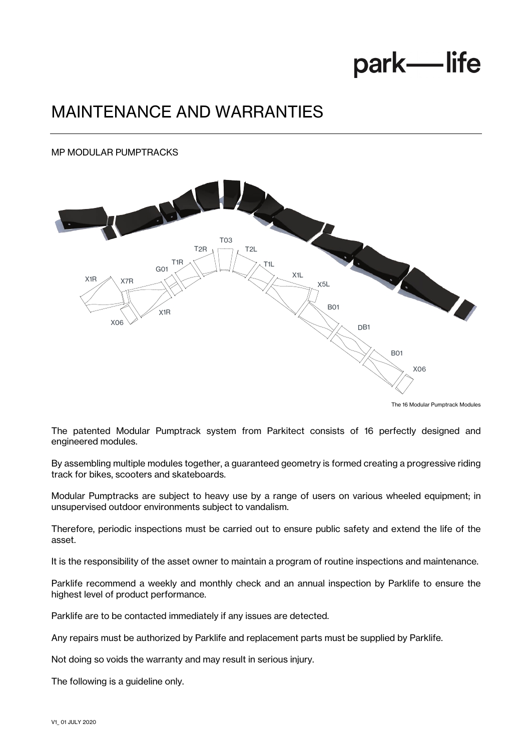## park-life

## MAINTENANCE AND WARRANTIES

#### MP MODULAR PUMPTRACKS



The 16 Modular Pumptrack Modules

The patented Modular Pumptrack system from Parkitect consists of 16 perfectly designed and engineered modules.

By assembling multiple modules together, a guaranteed geometry is formed creating a progressive riding track for bikes, scooters and skateboards.

Modular Pumptracks are subject to heavy use by a range of users on various wheeled equipment; in unsupervised outdoor environments subject to vandalism.

Therefore, periodic inspections must be carried out to ensure public safety and extend the life of the asset.

It is the responsibility of the asset owner to maintain a program of routine inspections and maintenance.

Parklife recommend a weekly and monthly check and an annual inspection by Parklife to ensure the highest level of product performance.

Parklife are to be contacted immediately if any issues are detected.

Any repairs must be authorized by Parklife and replacement parts must be supplied by Parklife.

Not doing so voids the warranty and may result in serious injury.

The following is a guideline only.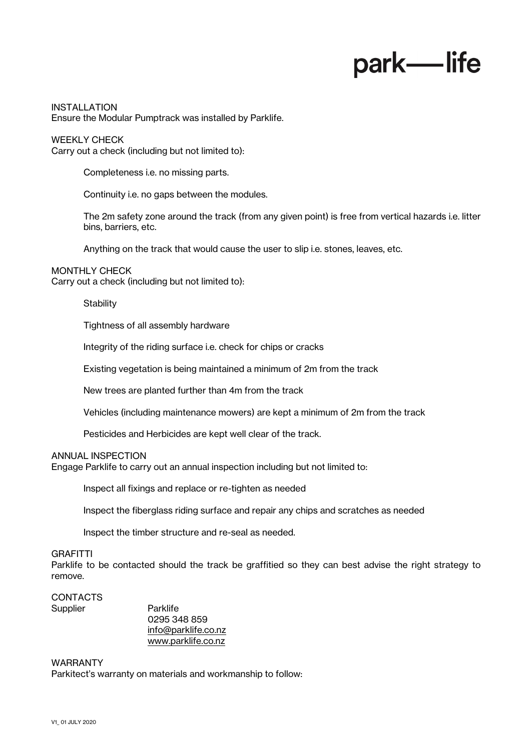# park—life

INSTALLATION Ensure the Modular Pumptrack was installed by Parklife.

WEEKLY CHECK Carry out a check (including but not limited to):

Completeness i.e. no missing parts.

Continuity i.e. no gaps between the modules.

The 2m safety zone around the track (from any given point) is free from vertical hazards i.e. litter bins, barriers, etc.

Anything on the track that would cause the user to slip i.e. stones, leaves, etc.

#### MONTHLY CHECK

Carry out a check (including but not limited to):

#### **Stability**

Tightness of all assembly hardware

Integrity of the riding surface i.e. check for chips or cracks

Existing vegetation is being maintained a minimum of 2m from the track

New trees are planted further than 4m from the track

Vehicles (including maintenance mowers) are kept a minimum of 2m from the track

Pesticides and Herbicides are kept well clear of the track.

#### ANNUAL INSPECTION

Engage Parklife to carry out an annual inspection including but not limited to:

Inspect all fixings and replace or re-tighten as needed

Inspect the fiberglass riding surface and repair any chips and scratches as needed

Inspect the timber structure and re-seal as needed.

#### **GRAFITTI**

Parklife to be contacted should the track be graffitied so they can best advise the right strategy to remove.

#### CONTACTS Supplier Parklife

0295 348 859 info@parklife.co.nz www.parklife.co.nz

#### WARRANTY

Parkitect's warranty on materials and workmanship to follow: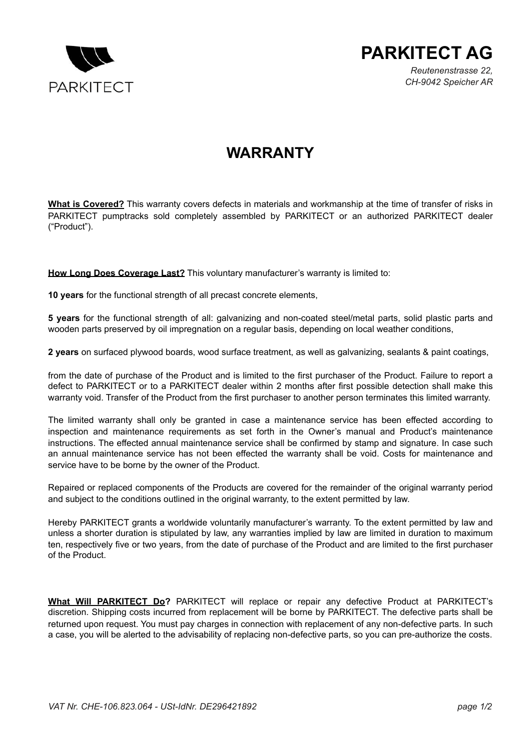



*Reutenenstrasse 22, CH-9042 Speicher AR*

### **WARRANTY**

**What is Covered?** This warranty covers defects in materials and workmanship at the time of transfer of risks in PARKITECT pumptracks sold completely assembled by PARKITECT or an authorized PARKITECT dealer ("Product").

**How Long Does Coverage Last?** This voluntary manufacturer's warranty is limited to:

**10 years** for the functional strength of all precast concrete elements,

**5 years** for the functional strength of all: galvanizing and non-coated steel/metal parts, solid plastic parts and wooden parts preserved by oil impregnation on a regular basis, depending on local weather conditions,

**2 years** on surfaced plywood boards, wood surface treatment, as well as galvanizing, sealants & paint coatings,

from the date of purchase of the Product and is limited to the first purchaser of the Product. Failure to report a defect to PARKITECT or to a PARKITECT dealer within 2 months after first possible detection shall make this warranty void. Transfer of the Product from the first purchaser to another person terminates this limited warranty.

The limited warranty shall only be granted in case a maintenance service has been effected according to inspection and maintenance requirements as set forth in the Owner's manual and Product's maintenance instructions. The effected annual maintenance service shall be confirmed by stamp and signature. In case such an annual maintenance service has not been effected the warranty shall be void. Costs for maintenance and service have to be borne by the owner of the Product.

Repaired or replaced components of the Products are covered for the remainder of the original warranty period and subject to the conditions outlined in the original warranty, to the extent permitted by law.

Hereby PARKITECT grants a worldwide voluntarily manufacturer's warranty. To the extent permitted by law and unless a shorter duration is stipulated by law, any warranties implied by law are limited in duration to maximum ten, respectively five or two years, from the date of purchase of the Product and are limited to the first purchaser of the Product.

**What Will PARKITECT Do?** PARKITECT will replace or repair any defective Product at PARKITECT's discretion. Shipping costs incurred from replacement will be borne by PARKITECT. The defective parts shall be returned upon request. You must pay charges in connection with replacement of any non-defective parts. In such a case, you will be alerted to the advisability of replacing non-defective parts, so you can pre-authorize the costs.